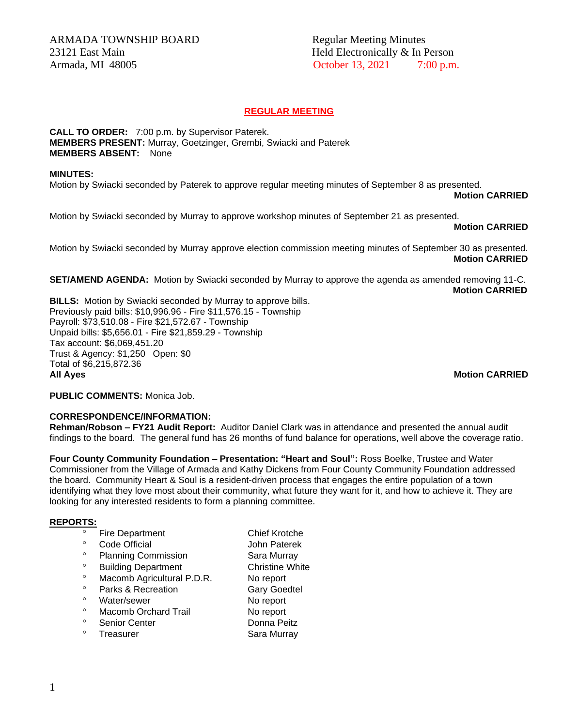## **REGULAR MEETING**

**CALL TO ORDER:** 7:00 p.m. by Supervisor Paterek. **MEMBERS PRESENT:** Murray, Goetzinger, Grembi, Swiacki and Paterek **MEMBERS ABSENT:** None

#### **MINUTES:**

Motion by Swiacki seconded by Paterek to approve regular meeting minutes of September 8 as presented.

**Motion CARRIED** 

Motion by Swiacki seconded by Murray to approve workshop minutes of September 21 as presented.

#### **Motion CARRIED**

Motion by Swiacki seconded by Murray approve election commission meeting minutes of September 30 as presented. **Motion CARRIED**

**SET/AMEND AGENDA:** Motion by Swiacki seconded by Murray to approve the agenda as amended removing 11-C. **Motion CARRIED**

**BILLS:** Motion by Swiacki seconded by Murray to approve bills. Previously paid bills: \$10,996.96 - Fire \$11,576.15 - Township Payroll: \$73,510.08 - Fire \$21,572.67 - Township Unpaid bills: \$5,656.01 - Fire \$21,859.29 - Township Tax account: \$6,069,451.20 Trust & Agency: \$1,250 Open: \$0 Total of \$6,215,872.36 **All Ayes Motion CARRIED**

**PUBLIC COMMENTS:** Monica Job.

### **CORRESPONDENCE/INFORMATION:**

**Rehman/Robson – FY21 Audit Report:** Auditor Daniel Clark was in attendance and presented the annual audit findings to the board. The general fund has 26 months of fund balance for operations, well above the coverage ratio.

**Four County Community Foundation – Presentation: "Heart and Soul":** Ross Boelke, Trustee and Water Commissioner from the Village of Armada and Kathy Dickens from Four County Community Foundation addressed the board. Community Heart & Soul is a resident-driven process that engages the entire population of a town identifying what they love most about their community, what future they want for it, and how to achieve it. They are looking for any interested residents to form a planning committee.

### **REPORTS:**

- Fire Department Chief Krotche<br>
Code Official Chief Lebe Baterek
- Code Official **Code Official** John Paterek
- <sup>o</sup> Planning Commission Sara Murray
- <sup>o</sup> Building Department Christine White
- <sup>o</sup> Macomb Agricultural P.D.R. No report
- Parks & Recreation Gary Goedtel<br>
Motor/gouer Metaphology No report
- 
- ° Water/sewer No report<br>∩ Macomb Orchard Trail No report Macomb Orchard Trail No report
- 
- Treasurer Sara Murray
- <sup>o</sup> Senior Center **Donna Peitz**<br> **Sara Murroy**